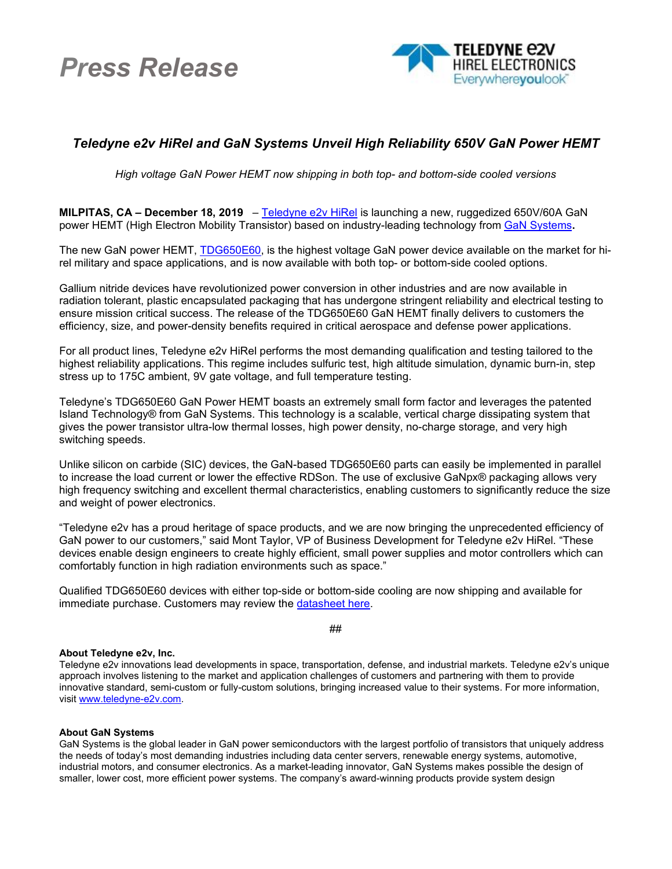# *Press Release*



## *Teledyne e2v HiRel and GaN Systems Unveil High Reliability 650V GaN Power HEMT*

*High voltage GaN Power HEMT now shipping in both top- and bottom-side cooled versions*

**MILPITAS, CA – December 18, 2019** – [Teledyne e2v](https://www.e2v.com/) HiRel is launching a new, ruggedized 650V/60A GaN power HEMT (High Electron Mobility Transistor) based on industry-leading technology from [GaN Systems](https://gansystems.com/)**.**

The new GaN power HEMT, [TDG650E60,](https://www.teledynedefenseelectronics.com/e2vhrel/Semiconductors/Pages/Power%20Solutions.aspx) is the highest voltage GaN power device available on the market for hirel military and space applications, and is now available with both top- or bottom-side cooled options.

Gallium nitride devices have revolutionized power conversion in other industries and are now available in radiation tolerant, plastic encapsulated packaging that has undergone stringent reliability and electrical testing to ensure mission critical success. The release of the TDG650E60 GaN HEMT finally delivers to customers the efficiency, size, and power-density benefits required in critical aerospace and defense power applications.

For all product lines, Teledyne e2v HiRel performs the most demanding qualification and testing tailored to the highest reliability applications. This regime includes sulfuric test, high altitude simulation, dynamic burn-in, step stress up to 175C ambient, 9V gate voltage, and full temperature testing.

Teledyne's TDG650E60 GaN Power HEMT boasts an extremely small form factor and leverages the patented Island Technology® from GaN Systems. This technology is a scalable, vertical charge dissipating system that gives the power transistor ultra-low thermal losses, high power density, no-charge storage, and very high switching speeds.

Unlike silicon on carbide (SIC) devices, the GaN-based TDG650E60 parts can easily be implemented in parallel to increase the load current or lower the effective RDSon. The use of exclusive GaNpx® packaging allows very high frequency switching and excellent thermal characteristics, enabling customers to significantly reduce the size and weight of power electronics.

"Teledyne e2v has a proud heritage of space products, and we are now bringing the unprecedented efficiency of GaN power to our customers," said Mont Taylor, VP of Business Development for Teledyne e2v HiRel. "These devices enable design engineers to create highly efficient, small power supplies and motor controllers which can comfortably function in high radiation environments such as space."

Qualified TDG650E60 devices with either top-side or bottom-side cooling are now shipping and available for immediate purchase. Customers may review the [datasheet here.](https://www.teledynedefenseelectronics.com/e2vhrel/Signal%20Chain%20Datasheets/Documents/TDG650E60%20Data%20Sheet%20Dec%202019d_1.pdf)

##

### **About Teledyne e2v, Inc.**

Teledyne e2v innovations lead developments in space, transportation, defense, and industrial markets. Teledyne e2v's unique approach involves listening to the market and application challenges of customers and partnering with them to provide innovative standard, semi-custom or fully-custom solutions, bringing increased value to their systems. For more information, visit [www.teledyne-e2v.com.](http://www.teledyne-e2v.com/)

### **About GaN Systems**

GaN Systems is the global leader in GaN power semiconductors with the largest portfolio of transistors that uniquely address the needs of today's most demanding industries including data center servers, renewable energy systems, automotive, industrial motors, and consumer electronics. As a market-leading innovator, GaN Systems makes possible the design of smaller, lower cost, more efficient power systems. The company's award-winning products provide system design